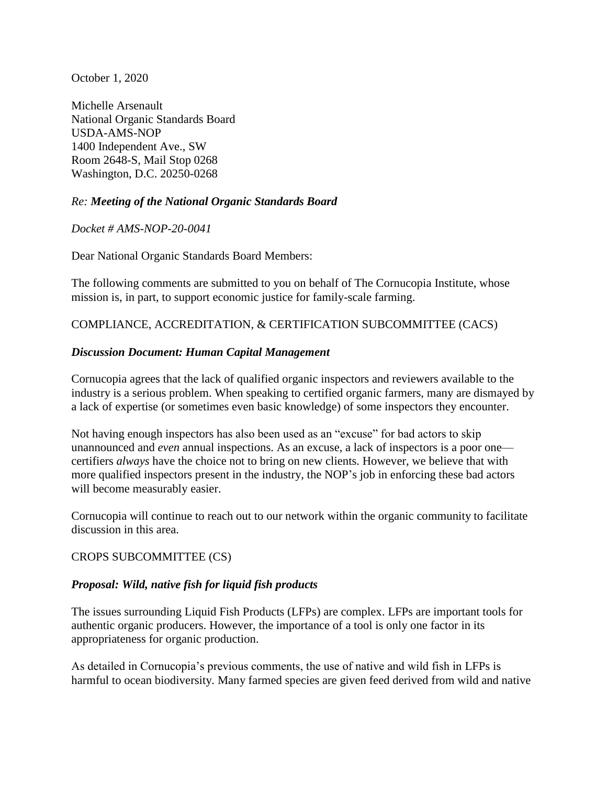October 1, 2020

Michelle Arsenault National Organic Standards Board USDA-AMS-NOP 1400 Independent Ave., SW Room 2648-S, Mail Stop 0268 Washington, D.C. 20250-0268

#### *Re: Meeting of the National Organic Standards Board*

*Docket # AMS-NOP-20-0041*

Dear National Organic Standards Board Members:

The following comments are submitted to you on behalf of The Cornucopia Institute, whose mission is, in part, to support economic justice for family-scale farming.

#### COMPLIANCE, ACCREDITATION, & CERTIFICATION SUBCOMMITTEE (CACS)

#### *Discussion Document: Human Capital Management*

Cornucopia agrees that the lack of qualified organic inspectors and reviewers available to the industry is a serious problem. When speaking to certified organic farmers, many are dismayed by a lack of expertise (or sometimes even basic knowledge) of some inspectors they encounter.

Not having enough inspectors has also been used as an "excuse" for bad actors to skip unannounced and *even* annual inspections. As an excuse, a lack of inspectors is a poor one certifiers *always* have the choice not to bring on new clients. However, we believe that with more qualified inspectors present in the industry, the NOP's job in enforcing these bad actors will become measurably easier.

Cornucopia will continue to reach out to our network within the organic community to facilitate discussion in this area.

#### CROPS SUBCOMMITTEE (CS)

#### *Proposal: Wild, native fish for liquid fish products*

The issues surrounding Liquid Fish Products (LFPs) are complex. LFPs are important tools for authentic organic producers. However, the importance of a tool is only one factor in its appropriateness for organic production.

As detailed in Cornucopia's previous comments, the use of native and wild fish in LFPs is harmful to ocean biodiversity. Many farmed species are given feed derived from wild and native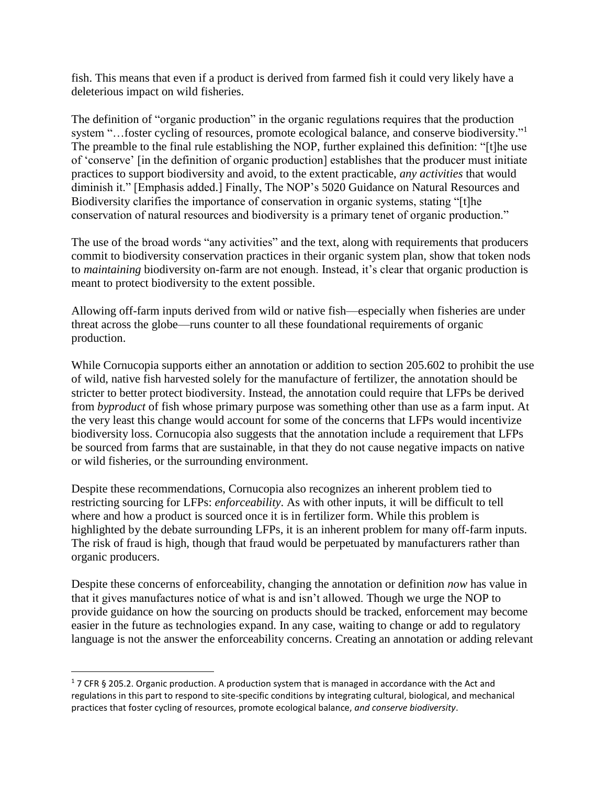fish. This means that even if a product is derived from farmed fish it could very likely have a deleterious impact on wild fisheries.

The definition of "organic production" in the organic regulations requires that the production system "...foster cycling of resources, promote ecological balance, and conserve biodiversity."<sup>1</sup> The preamble to the final rule establishing the NOP, further explained this definition: "[t]he use of 'conserve' [in the definition of organic production] establishes that the producer must initiate practices to support biodiversity and avoid, to the extent practicable, *any activities* that would diminish it." [Emphasis added.] Finally, The NOP's 5020 Guidance on Natural Resources and Biodiversity clarifies the importance of conservation in organic systems, stating "[t]he conservation of natural resources and biodiversity is a primary tenet of organic production."

The use of the broad words "any activities" and the text, along with requirements that producers commit to biodiversity conservation practices in their organic system plan, show that token nods to *maintaining* biodiversity on-farm are not enough. Instead, it's clear that organic production is meant to protect biodiversity to the extent possible.

Allowing off-farm inputs derived from wild or native fish—especially when fisheries are under threat across the globe—runs counter to all these foundational requirements of organic production.

While Cornucopia supports either an annotation or addition to section 205.602 to prohibit the use of wild, native fish harvested solely for the manufacture of fertilizer, the annotation should be stricter to better protect biodiversity. Instead, the annotation could require that LFPs be derived from *byproduct* of fish whose primary purpose was something other than use as a farm input. At the very least this change would account for some of the concerns that LFPs would incentivize biodiversity loss. Cornucopia also suggests that the annotation include a requirement that LFPs be sourced from farms that are sustainable, in that they do not cause negative impacts on native or wild fisheries, or the surrounding environment.

Despite these recommendations, Cornucopia also recognizes an inherent problem tied to restricting sourcing for LFPs: *enforceability*. As with other inputs, it will be difficult to tell where and how a product is sourced once it is in fertilizer form. While this problem is highlighted by the debate surrounding LFPs, it is an inherent problem for many off-farm inputs. The risk of fraud is high, though that fraud would be perpetuated by manufacturers rather than organic producers.

Despite these concerns of enforceability, changing the annotation or definition *now* has value in that it gives manufactures notice of what is and isn't allowed. Though we urge the NOP to provide guidance on how the sourcing on products should be tracked, enforcement may become easier in the future as technologies expand. In any case, waiting to change or add to regulatory language is not the answer the enforceability concerns. Creating an annotation or adding relevant

 $\overline{a}$ 

 $17$  CFR § 205.2. Organic production. A production system that is managed in accordance with the Act and regulations in this part to respond to site-specific conditions by integrating cultural, biological, and mechanical practices that foster cycling of resources, promote ecological balance, *and conserve biodiversity*.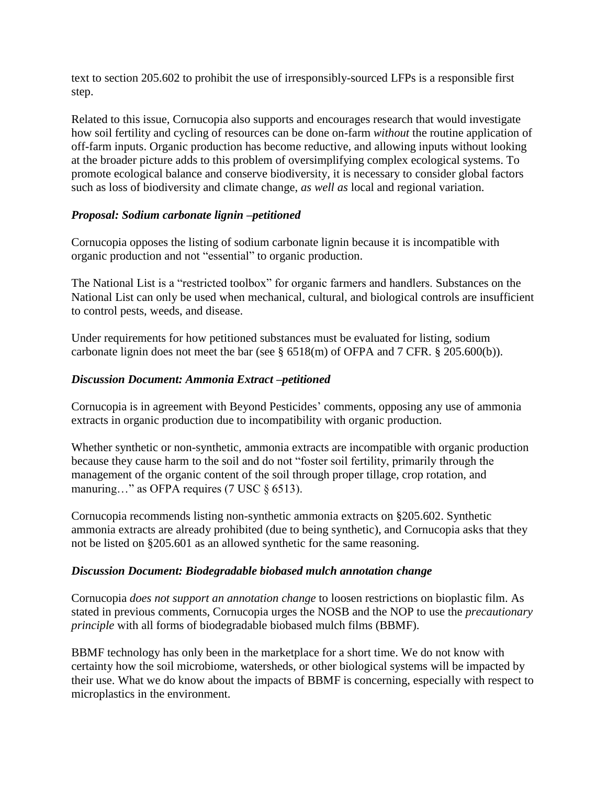text to section 205.602 to prohibit the use of irresponsibly-sourced LFPs is a responsible first step.

Related to this issue, Cornucopia also supports and encourages research that would investigate how soil fertility and cycling of resources can be done on-farm *without* the routine application of off-farm inputs. Organic production has become reductive, and allowing inputs without looking at the broader picture adds to this problem of oversimplifying complex ecological systems. To promote ecological balance and conserve biodiversity, it is necessary to consider global factors such as loss of biodiversity and climate change, *as well as* local and regional variation.

## *Proposal: Sodium carbonate lignin –petitioned*

Cornucopia opposes the listing of sodium carbonate lignin because it is incompatible with organic production and not "essential" to organic production.

The National List is a "restricted toolbox" for organic farmers and handlers. Substances on the National List can only be used when mechanical, cultural, and biological controls are insufficient to control pests, weeds, and disease.

Under requirements for how petitioned substances must be evaluated for listing, sodium carbonate lignin does not meet the bar (see § 6518(m) of OFPA and 7 CFR. § 205.600(b)).

# *Discussion Document: Ammonia Extract –petitioned*

Cornucopia is in agreement with Beyond Pesticides' comments, opposing any use of ammonia extracts in organic production due to incompatibility with organic production.

Whether synthetic or non-synthetic, ammonia extracts are incompatible with organic production because they cause harm to the soil and do not "foster soil fertility, primarily through the management of the organic content of the soil through proper tillage, crop rotation, and manuring…" as OFPA requires (7 USC § 6513).

Cornucopia recommends listing non-synthetic ammonia extracts on §205.602. Synthetic ammonia extracts are already prohibited (due to being synthetic), and Cornucopia asks that they not be listed on §205.601 as an allowed synthetic for the same reasoning.

## *Discussion Document: Biodegradable biobased mulch annotation change*

Cornucopia *does not support an annotation change* to loosen restrictions on bioplastic film. As stated in previous comments, Cornucopia urges the NOSB and the NOP to use the *precautionary principle* with all forms of biodegradable biobased mulch films (BBMF).

BBMF technology has only been in the marketplace for a short time. We do not know with certainty how the soil microbiome, watersheds, or other biological systems will be impacted by their use. What we do know about the impacts of BBMF is concerning, especially with respect to microplastics in the environment.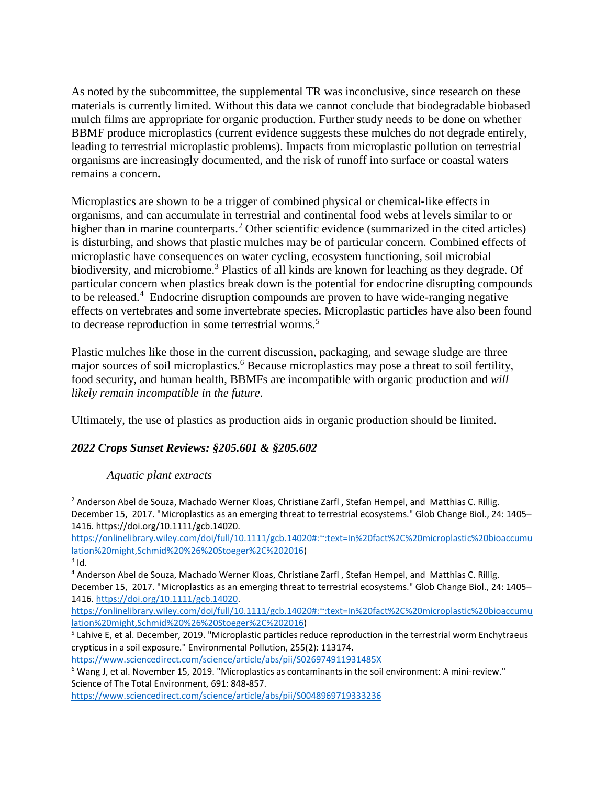As noted by the subcommittee, the supplemental TR was inconclusive, since research on these materials is currently limited. Without this data we cannot conclude that biodegradable biobased mulch films are appropriate for organic production. Further study needs to be done on whether BBMF produce microplastics (current evidence suggests these mulches do not degrade entirely, leading to terrestrial microplastic problems). Impacts from microplastic pollution on terrestrial organisms are increasingly documented, and the risk of runoff into surface or coastal waters remains a concern**.**

Microplastics are shown to be a trigger of combined physical or chemical-like effects in organisms, and can accumulate in terrestrial and continental food webs at levels similar to or higher than in marine counterparts.<sup>2</sup> Other scientific evidence (summarized in the cited articles) is disturbing, and shows that plastic mulches may be of particular concern. Combined effects of microplastic have consequences on water cycling, ecosystem functioning, soil microbial biodiversity, and microbiome.<sup>3</sup> Plastics of all kinds are known for leaching as they degrade. Of particular concern when plastics break down is the potential for endocrine disrupting compounds to be released.<sup>4</sup> Endocrine disruption compounds are proven to have wide-ranging negative effects on vertebrates and some invertebrate species. Microplastic particles have also been found to decrease reproduction in some terrestrial worms.<sup>5</sup>

Plastic mulches like those in the current discussion, packaging, and sewage sludge are three major sources of soil microplastics.<sup>6</sup> Because microplastics may pose a threat to soil fertility, food security, and human health, BBMFs are incompatible with organic production and *will likely remain incompatible in the future*.

Ultimately, the use of plastics as production aids in organic production should be limited.

## *2022 Crops Sunset Reviews: §205.601 & §205.602*

#### *Aquatic plant extracts*

 $\overline{a}$ 

[https://onlinelibrary.wiley.com/doi/full/10.1111/gcb.14020#:~:text=In%20fact%2C%20microplastic%20bioaccumu](https://onlinelibrary.wiley.com/doi/full/10.1111/gcb.14020#:~:text=In%20fact%2C%20microplastic%20bioaccumulation%20might,Schmid%20%26%20Stoeger%2C%202016) [lation%20might,Schmid%20%26%20Stoeger%2C%202016\)](https://onlinelibrary.wiley.com/doi/full/10.1111/gcb.14020#:~:text=In%20fact%2C%20microplastic%20bioaccumulation%20might,Schmid%20%26%20Stoeger%2C%202016)

<https://www.sciencedirect.com/science/article/abs/pii/S026974911931485X>

<sup>&</sup>lt;sup>2</sup> Anderson Abel de Souza, Machado Werner Kloas, Christiane Zarfl, Stefan Hempel, and Matthias C. Rillig. December 15, 2017. "Microplastics as an emerging threat to terrestrial ecosystems." Glob Change Biol., 24: 1405– 1416. https://doi.org/10.1111/gcb.14020.

[https://onlinelibrary.wiley.com/doi/full/10.1111/gcb.14020#:~:text=In%20fact%2C%20microplastic%20bioaccumu](https://onlinelibrary.wiley.com/doi/full/10.1111/gcb.14020#:~:text=In%20fact%2C%20microplastic%20bioaccumulation%20might,Schmid%20%26%20Stoeger%2C%202016) [lation%20might,Schmid%20%26%20Stoeger%2C%202016\)](https://onlinelibrary.wiley.com/doi/full/10.1111/gcb.14020#:~:text=In%20fact%2C%20microplastic%20bioaccumulation%20might,Schmid%20%26%20Stoeger%2C%202016)

 $3$  Id.

<sup>4</sup> Anderson Abel de Souza, Machado Werner Kloas, Christiane Zarfl , Stefan Hempel, and Matthias C. Rillig. December 15, 2017. "Microplastics as an emerging threat to terrestrial ecosystems." Glob Change Biol., 24: 1405– 1416. [https://doi.org/10.1111/gcb.14020.](https://doi.org/10.1111/gcb.14020)

<sup>&</sup>lt;sup>5</sup> Lahive E, et al. December, 2019. "Microplastic particles reduce reproduction in the terrestrial worm Enchytraeus crypticus in a soil exposure." Environmental Pollution, 255(2): 113174.

 $6$  Wang J, et al. November 15, 2019. "Microplastics as contaminants in the soil environment: A mini-review." Science of The Total Environment, 691: 848-857.

<https://www.sciencedirect.com/science/article/abs/pii/S0048969719333236>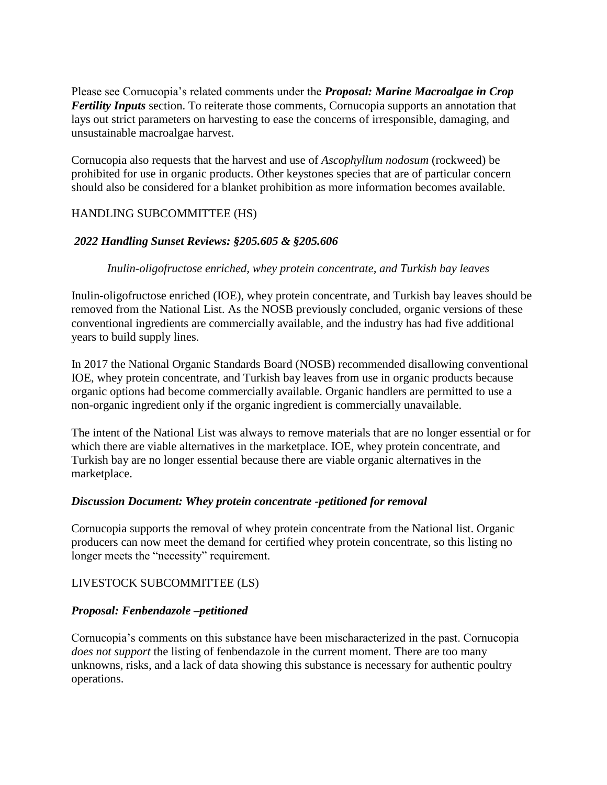Please see Cornucopia's related comments under the *Proposal: Marine Macroalgae in Crop Fertility Inputs* section. To reiterate those comments, Cornucopia supports an annotation that lays out strict parameters on harvesting to ease the concerns of irresponsible, damaging, and unsustainable macroalgae harvest.

Cornucopia also requests that the harvest and use of *Ascophyllum nodosum* (rockweed) be prohibited for use in organic products. Other keystones species that are of particular concern should also be considered for a blanket prohibition as more information becomes available.

### HANDLING SUBCOMMITTEE (HS)

### *2022 Handling Sunset Reviews: §205.605 & §205.606*

### *Inulin-oligofructose enriched, whey protein concentrate, and Turkish bay leaves*

Inulin-oligofructose enriched (IOE), whey protein concentrate, and Turkish bay leaves should be removed from the National List. As the NOSB previously concluded, organic versions of these conventional ingredients are commercially available, and the industry has had five additional years to build supply lines.

In 2017 the National Organic Standards Board (NOSB) recommended disallowing conventional IOE, whey protein concentrate, and Turkish bay leaves from use in organic products because organic options had become commercially available. Organic handlers are permitted to use a non-organic ingredient only if the organic ingredient is commercially unavailable.

The intent of the National List was always to remove materials that are no longer essential or for which there are viable alternatives in the marketplace. IOE, whey protein concentrate, and Turkish bay are no longer essential because there are viable organic alternatives in the marketplace.

#### *Discussion Document: Whey protein concentrate -petitioned for removal*

Cornucopia supports the removal of whey protein concentrate from the National list. Organic producers can now meet the demand for certified whey protein concentrate, so this listing no longer meets the "necessity" requirement.

## LIVESTOCK SUBCOMMITTEE (LS)

## *Proposal: Fenbendazole –petitioned*

Cornucopia's comments on this substance have been mischaracterized in the past. Cornucopia *does not support* the listing of fenbendazole in the current moment. There are too many unknowns, risks, and a lack of data showing this substance is necessary for authentic poultry operations.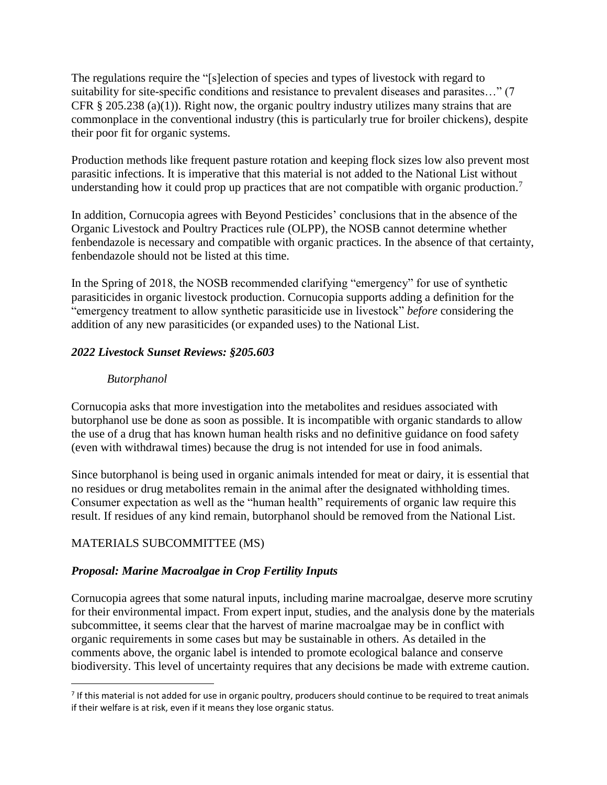The regulations require the "[s]election of species and types of livestock with regard to suitability for site-specific conditions and resistance to prevalent diseases and parasites…" (7 CFR § 205.238 (a)(1)). Right now, the organic poultry industry utilizes many strains that are commonplace in the conventional industry (this is particularly true for broiler chickens), despite their poor fit for organic systems.

Production methods like frequent pasture rotation and keeping flock sizes low also prevent most parasitic infections. It is imperative that this material is not added to the National List without understanding how it could prop up practices that are not compatible with organic production.<sup>7</sup>

In addition, Cornucopia agrees with Beyond Pesticides' conclusions that in the absence of the Organic Livestock and Poultry Practices rule (OLPP), the NOSB cannot determine whether fenbendazole is necessary and compatible with organic practices. In the absence of that certainty, fenbendazole should not be listed at this time.

In the Spring of 2018, the NOSB recommended clarifying "emergency" for use of synthetic parasiticides in organic livestock production. Cornucopia supports adding a definition for the "emergency treatment to allow synthetic parasiticide use in livestock" *before* considering the addition of any new parasiticides (or expanded uses) to the National List.

# *2022 Livestock Sunset Reviews: §205.603*

## *Butorphanol*

Cornucopia asks that more investigation into the metabolites and residues associated with butorphanol use be done as soon as possible. It is incompatible with organic standards to allow the use of a drug that has known human health risks and no definitive guidance on food safety (even with withdrawal times) because the drug is not intended for use in food animals.

Since butorphanol is being used in organic animals intended for meat or dairy, it is essential that no residues or drug metabolites remain in the animal after the designated withholding times. Consumer expectation as well as the "human health" requirements of organic law require this result. If residues of any kind remain, butorphanol should be removed from the National List.

## MATERIALS SUBCOMMITTEE (MS)

 $\overline{a}$ 

## *Proposal: Marine Macroalgae in Crop Fertility Inputs*

Cornucopia agrees that some natural inputs, including marine macroalgae, deserve more scrutiny for their environmental impact. From expert input, studies, and the analysis done by the materials subcommittee, it seems clear that the harvest of marine macroalgae may be in conflict with organic requirements in some cases but may be sustainable in others. As detailed in the comments above, the organic label is intended to promote ecological balance and conserve biodiversity. This level of uncertainty requires that any decisions be made with extreme caution.

 $<sup>7</sup>$  If this material is not added for use in organic poultry, producers should continue to be required to treat animals</sup> if their welfare is at risk, even if it means they lose organic status.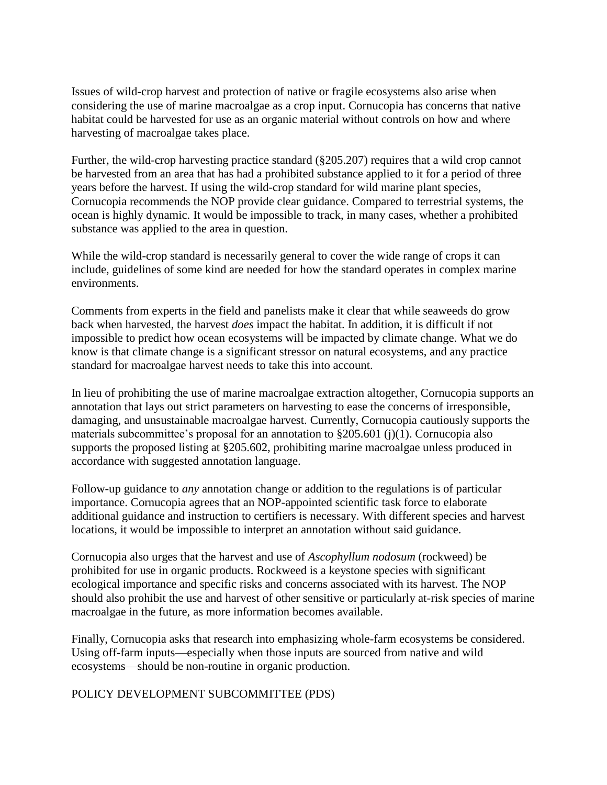Issues of wild-crop harvest and protection of native or fragile ecosystems also arise when considering the use of marine macroalgae as a crop input. Cornucopia has concerns that native habitat could be harvested for use as an organic material without controls on how and where harvesting of macroalgae takes place.

Further, the wild-crop harvesting practice standard (§205.207) requires that a wild crop cannot be harvested from an area that has had a prohibited substance applied to it for a period of three years before the harvest. If using the wild-crop standard for wild marine plant species, Cornucopia recommends the NOP provide clear guidance. Compared to terrestrial systems, the ocean is highly dynamic. It would be impossible to track, in many cases, whether a prohibited substance was applied to the area in question.

While the wild-crop standard is necessarily general to cover the wide range of crops it can include, guidelines of some kind are needed for how the standard operates in complex marine environments.

Comments from experts in the field and panelists make it clear that while seaweeds do grow back when harvested, the harvest *does* impact the habitat. In addition, it is difficult if not impossible to predict how ocean ecosystems will be impacted by climate change. What we do know is that climate change is a significant stressor on natural ecosystems, and any practice standard for macroalgae harvest needs to take this into account.

In lieu of prohibiting the use of marine macroalgae extraction altogether, Cornucopia supports an annotation that lays out strict parameters on harvesting to ease the concerns of irresponsible, damaging, and unsustainable macroalgae harvest. Currently, Cornucopia cautiously supports the materials subcommittee's proposal for an annotation to §205.601 (j)(1). Cornucopia also supports the proposed listing at §205.602, prohibiting marine macroalgae unless produced in accordance with suggested annotation language.

Follow-up guidance to *any* annotation change or addition to the regulations is of particular importance. Cornucopia agrees that an NOP-appointed scientific task force to elaborate additional guidance and instruction to certifiers is necessary. With different species and harvest locations, it would be impossible to interpret an annotation without said guidance.

Cornucopia also urges that the harvest and use of *Ascophyllum nodosum* (rockweed) be prohibited for use in organic products. Rockweed is a keystone species with significant ecological importance and specific risks and concerns associated with its harvest. The NOP should also prohibit the use and harvest of other sensitive or particularly at-risk species of marine macroalgae in the future, as more information becomes available.

Finally, Cornucopia asks that research into emphasizing whole-farm ecosystems be considered. Using off-farm inputs—especially when those inputs are sourced from native and wild ecosystems—should be non-routine in organic production.

POLICY DEVELOPMENT SUBCOMMITTEE (PDS)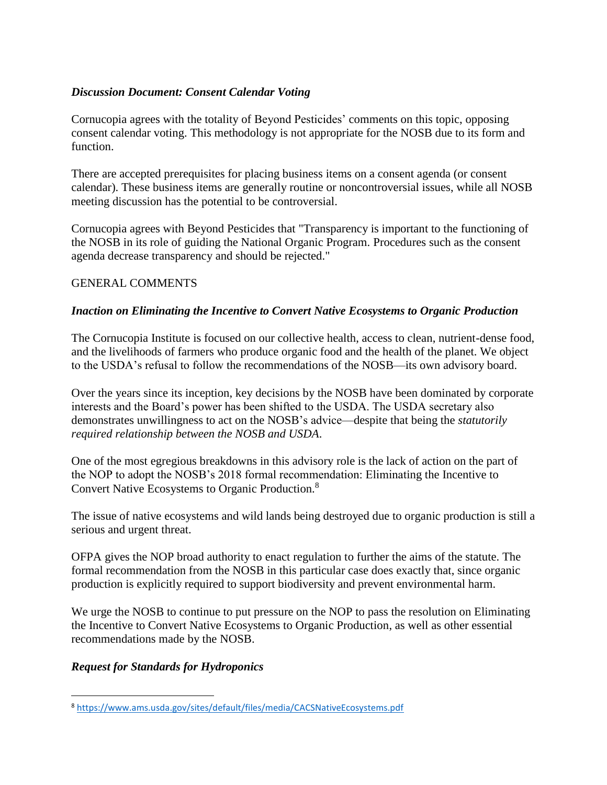## *Discussion Document: Consent Calendar Voting*

Cornucopia agrees with the totality of Beyond Pesticides' comments on this topic, opposing consent calendar voting. This methodology is not appropriate for the NOSB due to its form and function.

There are accepted prerequisites for placing business items on a consent agenda (or consent calendar). These business items are generally routine or noncontroversial issues, while all NOSB meeting discussion has the potential to be controversial.

Cornucopia agrees with Beyond Pesticides that "Transparency is important to the functioning of the NOSB in its role of guiding the National Organic Program. Procedures such as the consent agenda decrease transparency and should be rejected."

## GENERAL COMMENTS

# *Inaction on Eliminating the Incentive to Convert Native Ecosystems to Organic Production*

The Cornucopia Institute is focused on our collective health, access to clean, nutrient-dense food, and the livelihoods of farmers who produce organic food and the health of the planet. We object to the USDA's refusal to follow the recommendations of the NOSB—its own advisory board.

Over the years since its inception, key decisions by the NOSB have been dominated by corporate interests and the Board's power has been shifted to the USDA. The USDA secretary also demonstrates unwillingness to act on the NOSB's advice—despite that being the *statutorily required relationship between the NOSB and USDA*.

One of the most egregious breakdowns in this advisory role is the lack of action on the part of the NOP to adopt the NOSB's 2018 formal recommendation: Eliminating the Incentive to Convert Native Ecosystems to Organic Production.<sup>8</sup>

The issue of native ecosystems and wild lands being destroyed due to organic production is still a serious and urgent threat.

OFPA gives the NOP broad authority to enact regulation to further the aims of the statute. The formal recommendation from the NOSB in this particular case does exactly that, since organic production is explicitly required to support biodiversity and prevent environmental harm.

We urge the NOSB to continue to put pressure on the NOP to pass the resolution on Eliminating the Incentive to Convert Native Ecosystems to Organic Production, as well as other essential recommendations made by the NOSB.

# *Request for Standards for Hydroponics*

 $\overline{a}$ 

<sup>8</sup> <https://www.ams.usda.gov/sites/default/files/media/CACSNativeEcosystems.pdf>